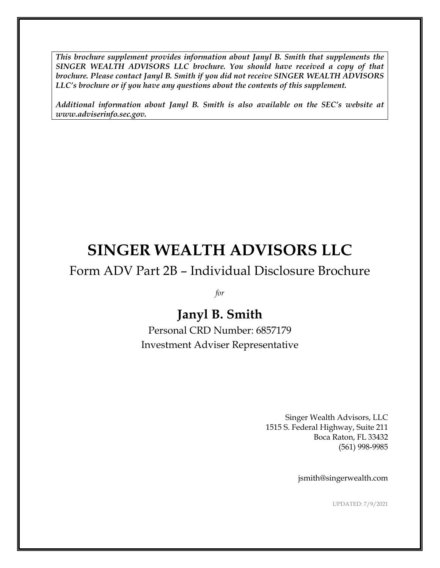*This brochure supplement provides information about Janyl B. Smith that supplements the SINGER WEALTH ADVISORS LLC brochure. You should have received a copy of that brochure. Please contact Janyl B. Smith if you did not receive SINGER WEALTH ADVISORS LLC's brochure or if you have any questions about the contents of this supplement.*

*Additional information about Janyl B. Smith is also available on the SEC's website at www.adviserinfo.sec.gov.*

# **SINGER WEALTH ADVISORS LLC**

## Form ADV Part 2B – Individual Disclosure Brochure

*for*

## **Janyl B. Smith**

Personal CRD Number: 6857179 Investment Adviser Representative

> Singer Wealth Advisors, LLC 1515 S. Federal Highway, Suite 211 Boca Raton, FL 33432 (561) 998-9985

> > jsmith@singerwealth.com

UPDATED: 7/9/2021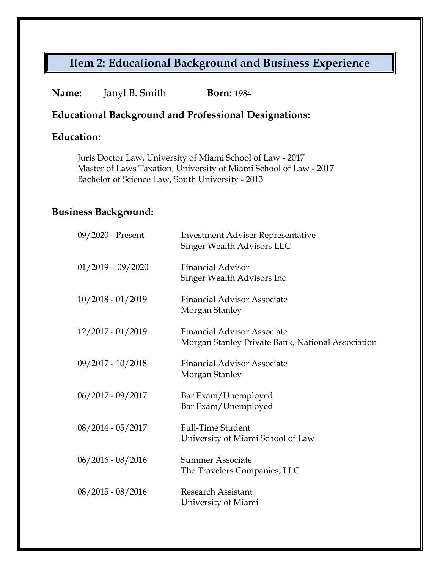## **Item 2: Educational Background and Business Experience**

#### **Name:** Janyl B. Smith **Born:** 1984

#### **Educational Background and Professional Designations:**

#### **Education:**

Juris Doctor Law, University of Miami School of Law - 2017 Master of Laws Taxation, University of Miami School of Law - 2017 Bachelor of Science Law, South University - 2013

#### **Business Background:**

| 09/2020 - Present   | <b>Investment Adviser Representative</b><br><b>Singer Wealth Advisors LLC</b>           |
|---------------------|-----------------------------------------------------------------------------------------|
| $01/2019 - 09/2020$ | <b>Financial Advisor</b><br>Singer Wealth Advisors Inc                                  |
| $10/2018 - 01/2019$ | <b>Financial Advisor Associate</b><br>Morgan Stanley                                    |
| 12/2017 - 01/2019   | <b>Financial Advisor Associate</b><br>Morgan Stanley Private Bank, National Association |
| $09/2017 - 10/2018$ | <b>Financial Advisor Associate</b><br>Morgan Stanley                                    |
| $06/2017 - 09/2017$ | Bar Exam/Unemployed<br>Bar Exam/Unemployed                                              |
| $08/2014 - 05/2017$ | <b>Full-Time Student</b><br>University of Miami School of Law                           |
| $06/2016 - 08/2016$ | Summer Associate<br>The Travelers Companies, LLC                                        |
| $08/2015 - 08/2016$ | <b>Research Assistant</b><br>University of Miami                                        |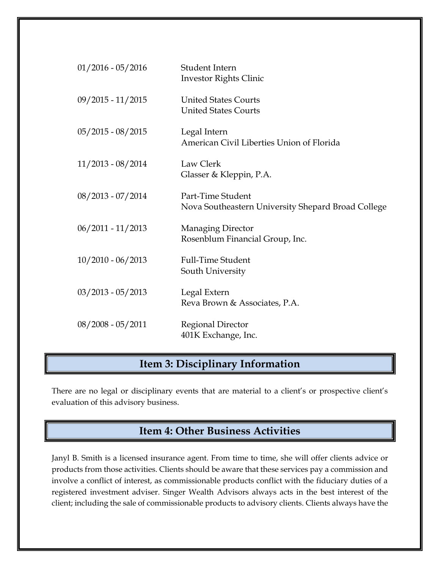| $01/2016 - 05/2016$ | Student Intern<br><b>Investor Rights Clinic</b>                         |
|---------------------|-------------------------------------------------------------------------|
| $09/2015 - 11/2015$ | <b>United States Courts</b><br><b>United States Courts</b>              |
| $05/2015 - 08/2015$ | Legal Intern<br>American Civil Liberties Union of Florida               |
| $11/2013 - 08/2014$ | Law Clerk<br>Glasser & Kleppin, P.A.                                    |
| $08/2013 - 07/2014$ | Part-Time Student<br>Nova Southeastern University Shepard Broad College |
| $06/2011 - 11/2013$ | <b>Managing Director</b><br>Rosenblum Financial Group, Inc.             |
| $10/2010 - 06/2013$ | <b>Full-Time Student</b><br>South University                            |
| $03/2013 - 05/2013$ | Legal Extern<br>Reva Brown & Associates, P.A.                           |
| $08/2008 - 05/2011$ | <b>Regional Director</b><br>401K Exchange, Inc.                         |

#### **Item 3: Disciplinary Information**

There are no legal or disciplinary events that are material to a client's or prospective client's evaluation of this advisory business.

### **Item 4: Other Business Activities**

Janyl B. Smith is a licensed insurance agent. From time to time, she will offer clients advice or products from those activities. Clients should be aware that these services pay a commission and involve a conflict of interest, as commissionable products conflict with the fiduciary duties of a registered investment adviser. Singer Wealth Advisors always acts in the best interest of the client; including the sale of commissionable products to advisory clients. Clients always have the